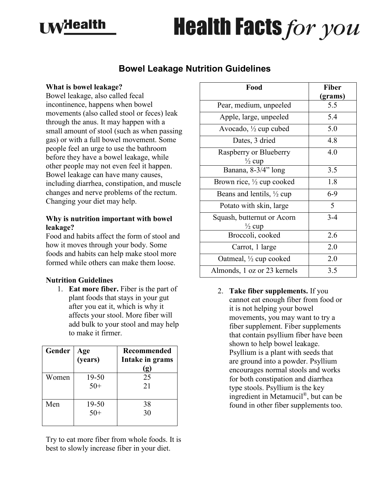## $\blacksquare$ Malth

# **Health Facts for you**

### **Bowel Leakage Nutrition Guidelines**

#### **What is bowel leakage?**

Bowel leakage, also called fecal incontinence, happens when bowel movements (also called stool or feces) leak through the anus. It may happen with a small amount of stool (such as when passing gas) or with a full bowel movement. Some people feel an urge to use the bathroom before they have a bowel leakage, while other people may not even feel it happen. Bowel leakage can have many causes, including diarrhea, constipation, and muscle changes and nerve problems of the rectum. Changing your diet may help.

#### **Why is nutrition important with bowel leakage?**

Food and habits affect the form of stool and how it moves through your body. Some foods and habits can help make stool more formed while others can make them loose.

#### **Nutrition Guidelines**

1. **Eat more fiber.** Fiber is the part of plant foods that stays in your gut after you eat it, which is why it affects your stool. More fiber will add bulk to your stool and may help to make it firmer.

| Gender | Age<br>( <b>years</b> ) | <b>Recommended</b><br>Intake in grams<br>(g) |
|--------|-------------------------|----------------------------------------------|
| Women  | 19-50<br>$50+$          | 25<br>21                                     |
| Men    | 19-50<br>$50+$          | 38<br>30                                     |

Try to eat more fiber from whole foods. It is best to slowly increase fiber in your diet.

| Food                                            | Fiber   |
|-------------------------------------------------|---------|
|                                                 | (grams) |
| Pear, medium, unpeeled                          | 5.5     |
| Apple, large, unpeeled                          | 5.4     |
| Avocado, $\frac{1}{2}$ cup cubed                | 5.0     |
| Dates, 3 dried                                  | 4.8     |
| Raspberry or Blueberry<br>$\frac{1}{2}$ cup     | 4.0     |
| Banana, 8-3/4" long                             | 3.5     |
| Brown rice, 1/2 cup cooked                      | 1.8     |
| Beans and lentils, $\frac{1}{2}$ cup            | 6-9     |
| Potato with skin, large                         | 5       |
| Squash, butternut or Acorn<br>$\frac{1}{2}$ cup | $3 - 4$ |
| Broccoli, cooked                                | 2.6     |
| Carrot, 1 large                                 | 2.0     |
| Oatmeal, $\frac{1}{2}$ cup cooked               | 2.0     |
| Almonds, 1 oz or 23 kernels                     | 3.5     |

2. **Take fiber supplements.** If you cannot eat enough fiber from food or it is not helping your bowel movements, you may want to try a fiber supplement. Fiber supplements that contain psyllium fiber have been shown to help bowel leakage. Psyllium is a plant with seeds that are ground into a powder. Psyllium encourages normal stools and works for both constipation and diarrhea type stools. Psyllium is the key ingredient in Metamucil®, but can be found in other fiber supplements too.